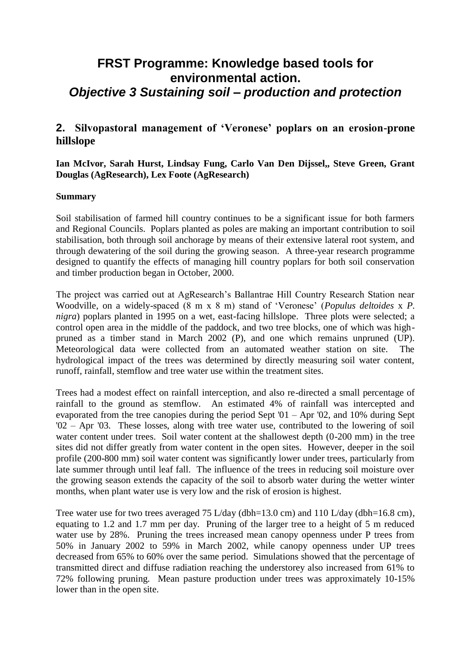# **FRST Programme: Knowledge based tools for environmental action.**  *Objective 3 Sustaining soil – production and protection*

# **2. Silvopastoral management of 'Veronese' poplars on an erosion-prone hillslope**

**Ian McIvor, Sarah Hurst, Lindsay Fung, Carlo Van Den Dijssel,, Steve Green, Grant Douglas (AgResearch), Lex Foote (AgResearch)**

#### **Summary**

Soil stabilisation of farmed hill country continues to be a significant issue for both farmers and Regional Councils. Poplars planted as poles are making an important contribution to soil stabilisation, both through soil anchorage by means of their extensive lateral root system, and through dewatering of the soil during the growing season. A three-year research programme designed to quantify the effects of managing hill country poplars for both soil conservation and timber production began in October, 2000.

The project was carried out at AgResearch's Ballantrae Hill Country Research Station near Woodville, on a widely-spaced (8 m x 8 m) stand of 'Veronese' (*Populus deltoides* x *P. nigra*) poplars planted in 1995 on a wet, east-facing hillslope. Three plots were selected; a control open area in the middle of the paddock, and two tree blocks, one of which was highpruned as a timber stand in March 2002 (P), and one which remains unpruned (UP). Meteorological data were collected from an automated weather station on site. The hydrological impact of the trees was determined by directly measuring soil water content, runoff, rainfall, stemflow and tree water use within the treatment sites.

Trees had a modest effect on rainfall interception, and also re-directed a small percentage of rainfall to the ground as stemflow. An estimated 4% of rainfall was intercepted and evaporated from the tree canopies during the period Sept '01 – Apr '02, and 10% during Sept '02 – Apr '03. These losses, along with tree water use, contributed to the lowering of soil water content under trees. Soil water content at the shallowest depth (0-200 mm) in the tree sites did not differ greatly from water content in the open sites. However, deeper in the soil profile (200-800 mm) soil water content was significantly lower under trees, particularly from late summer through until leaf fall. The influence of the trees in reducing soil moisture over the growing season extends the capacity of the soil to absorb water during the wetter winter months, when plant water use is very low and the risk of erosion is highest.

Tree water use for two trees averaged 75 L/day (dbh=13.0 cm) and 110 L/day (dbh=16.8 cm), equating to 1.2 and 1.7 mm per day. Pruning of the larger tree to a height of 5 m reduced water use by 28%. Pruning the trees increased mean canopy openness under P trees from 50% in January 2002 to 59% in March 2002, while canopy openness under UP trees decreased from 65% to 60% over the same period. Simulations showed that the percentage of transmitted direct and diffuse radiation reaching the understorey also increased from 61% to 72% following pruning. Mean pasture production under trees was approximately 10-15% lower than in the open site.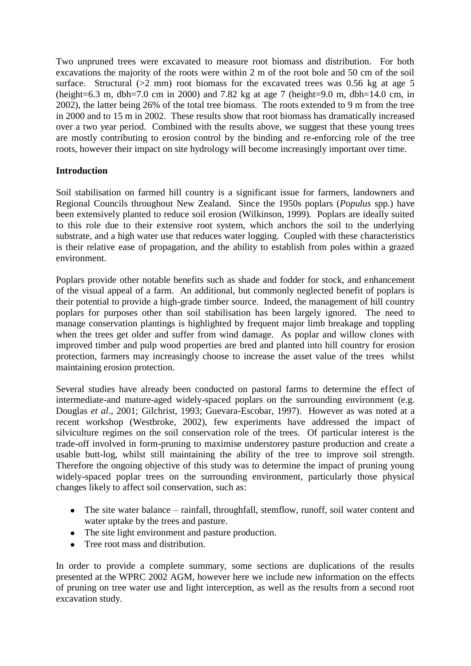Two unpruned trees were excavated to measure root biomass and distribution. For both excavations the majority of the roots were within 2 m of the root bole and 50 cm of the soil surface. Structural  $(2 \text{ mm})$  root biomass for the excavated trees was 0.56 kg at age 5 (height=6.3 m, dbh=7.0 cm in 2000) and 7.82 kg at age 7 (height=9.0 m, dbh=14.0 cm, in 2002), the latter being 26% of the total tree biomass. The roots extended to 9 m from the tree in 2000 and to 15 m in 2002. These results show that root biomass has dramatically increased over a two year period. Combined with the results above, we suggest that these young trees are mostly contributing to erosion control by the binding and re-enforcing role of the tree roots, however their impact on site hydrology will become increasingly important over time.

# **Introduction**

Soil stabilisation on farmed hill country is a significant issue for farmers, landowners and Regional Councils throughout New Zealand. Since the 1950s poplars (*Populus* spp.) have been extensively planted to reduce soil erosion (Wilkinson, 1999). Poplars are ideally suited to this role due to their extensive root system, which anchors the soil to the underlying substrate, and a high water use that reduces water logging. Coupled with these characteristics is their relative ease of propagation, and the ability to establish from poles within a grazed environment.

Poplars provide other notable benefits such as shade and fodder for stock, and enhancement of the visual appeal of a farm. An additional, but commonly neglected benefit of poplars is their potential to provide a high-grade timber source. Indeed, the management of hill country poplars for purposes other than soil stabilisation has been largely ignored. The need to manage conservation plantings is highlighted by frequent major limb breakage and toppling when the trees get older and suffer from wind damage. As poplar and willow clones with improved timber and pulp wood properties are bred and planted into hill country for erosion protection, farmers may increasingly choose to increase the asset value of the trees whilst maintaining erosion protection.

Several studies have already been conducted on pastoral farms to determine the effect of intermediate-and mature-aged widely-spaced poplars on the surrounding environment (e.g. Douglas *et al*., 2001; Gilchrist, 1993; Guevara-Escobar, 1997). However as was noted at a recent workshop (Westbroke, 2002), few experiments have addressed the impact of silviculture regimes on the soil conservation role of the trees. Of particular interest is the trade-off involved in form-pruning to maximise understorey pasture production and create a usable butt-log, whilst still maintaining the ability of the tree to improve soil strength. Therefore the ongoing objective of this study was to determine the impact of pruning young widely-spaced poplar trees on the surrounding environment, particularly those physical changes likely to affect soil conservation, such as:

- The site water balance rainfall, throughfall, stemflow, runoff, soil water content and water uptake by the trees and pasture.
- The site light environment and pasture production.
- Tree root mass and distribution.

In order to provide a complete summary, some sections are duplications of the results presented at the WPRC 2002 AGM, however here we include new information on the effects of pruning on tree water use and light interception, as well as the results from a second root excavation study.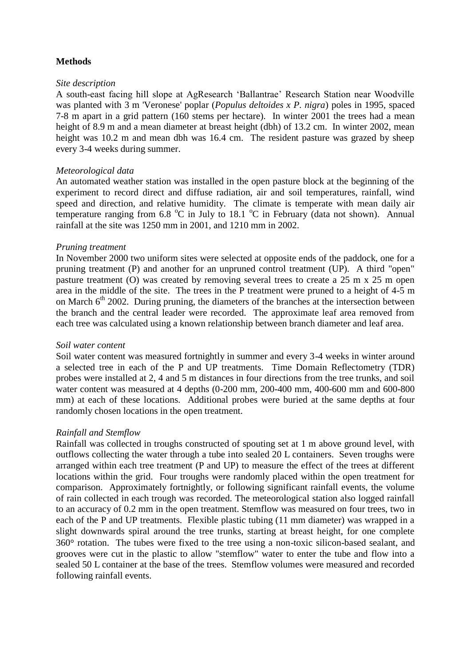## **Methods**

#### *Site description*

A south-east facing hill slope at AgResearch 'Ballantrae' Research Station near Woodville was planted with 3 m 'Veronese' poplar (*Populus deltoides x P. nigra*) poles in 1995, spaced 7-8 m apart in a grid pattern (160 stems per hectare). In winter 2001 the trees had a mean height of 8.9 m and a mean diameter at breast height (dbh) of 13.2 cm. In winter 2002, mean height was 10.2 m and mean dbh was 16.4 cm. The resident pasture was grazed by sheep every 3-4 weeks during summer.

#### *Meteorological data*

An automated weather station was installed in the open pasture block at the beginning of the experiment to record direct and diffuse radiation, air and soil temperatures, rainfall, wind speed and direction, and relative humidity. The climate is temperate with mean daily air temperature ranging from 6.8  $^{\circ}$ C in July to 18.1  $^{\circ}$ C in February (data not shown). Annual rainfall at the site was 1250 mm in 2001, and 1210 mm in 2002.

#### *Pruning treatment*

In November 2000 two uniform sites were selected at opposite ends of the paddock, one for a pruning treatment (P) and another for an unpruned control treatment (UP). A third "open" pasture treatment (O) was created by removing several trees to create a 25 m x 25 m open area in the middle of the site. The trees in the P treatment were pruned to a height of 4-5 m on March  $6<sup>th</sup>$  2002. During pruning, the diameters of the branches at the intersection between the branch and the central leader were recorded. The approximate leaf area removed from each tree was calculated using a known relationship between branch diameter and leaf area.

#### *Soil water content*

Soil water content was measured fortnightly in summer and every 3-4 weeks in winter around a selected tree in each of the P and UP treatments. Time Domain Reflectometry (TDR) probes were installed at 2, 4 and 5 m distances in four directions from the tree trunks, and soil water content was measured at 4 depths (0-200 mm, 200-400 mm, 400-600 mm and 600-800 mm) at each of these locations. Additional probes were buried at the same depths at four randomly chosen locations in the open treatment.

#### *Rainfall and Stemflow*

Rainfall was collected in troughs constructed of spouting set at 1 m above ground level, with outflows collecting the water through a tube into sealed 20 L containers. Seven troughs were arranged within each tree treatment (P and UP) to measure the effect of the trees at different locations within the grid. Four troughs were randomly placed within the open treatment for comparison. Approximately fortnightly, or following significant rainfall events, the volume of rain collected in each trough was recorded. The meteorological station also logged rainfall to an accuracy of 0.2 mm in the open treatment. Stemflow was measured on four trees, two in each of the P and UP treatments. Flexible plastic tubing (11 mm diameter) was wrapped in a slight downwards spiral around the tree trunks, starting at breast height, for one complete 360 rotation. The tubes were fixed to the tree using a non-toxic silicon-based sealant, and grooves were cut in the plastic to allow "stemflow" water to enter the tube and flow into a sealed 50 L container at the base of the trees. Stemflow volumes were measured and recorded following rainfall events.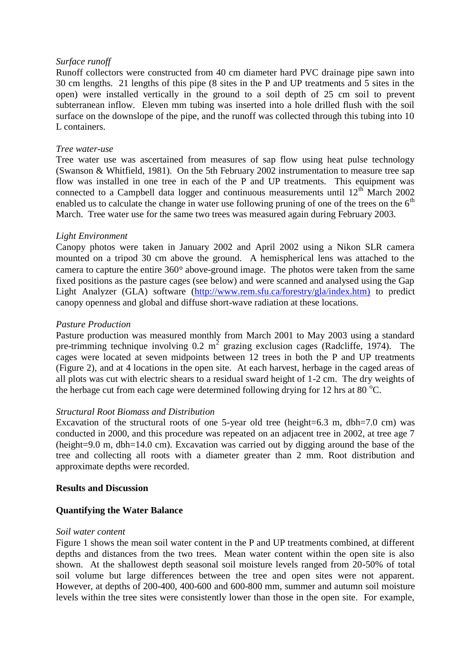#### *Surface runoff*

Runoff collectors were constructed from 40 cm diameter hard PVC drainage pipe sawn into 30 cm lengths. 21 lengths of this pipe (8 sites in the P and UP treatments and 5 sites in the open) were installed vertically in the ground to a soil depth of 25 cm soil to prevent subterranean inflow. Eleven mm tubing was inserted into a hole drilled flush with the soil surface on the downslope of the pipe, and the runoff was collected through this tubing into 10 L containers.

#### *Tree water-use*

Tree water use was ascertained from measures of sap flow using heat pulse technology (Swanson & Whitfield, 1981). On the 5th February 2002 instrumentation to measure tree sap flow was installed in one tree in each of the P and UP treatments. This equipment was connected to a Campbell data logger and continuous measurements until  $12^{th}$  March 2002 enabled us to calculate the change in water use following pruning of one of the trees on the  $6<sup>th</sup>$ March. Tree water use for the same two trees was measured again during February 2003.

#### *Light Environment*

Canopy photos were taken in January 2002 and April 2002 using a Nikon SLR camera mounted on a tripod 30 cm above the ground. A hemispherical lens was attached to the camera to capture the entire  $360^\circ$  above-ground image. The photos were taken from the same fixed positions as the pasture cages (see below) and were scanned and analysed using the Gap Light Analyzer (GLA) software (http://www.rem.sfu.ca/forestry/gla/index.htm) to predict canopy openness and global and diffuse short-wave radiation at these locations.

#### *Pasture Production*

Pasture production was measured monthly from March 2001 to May 2003 using a standard pre-trimming technique involving  $0.2 \text{ m}^2$  grazing exclusion cages (Radcliffe, 1974). The cages were located at seven midpoints between 12 trees in both the P and UP treatments (Figure 2), and at 4 locations in the open site. At each harvest, herbage in the caged areas of all plots was cut with electric shears to a residual sward height of 1-2 cm. The dry weights of the herbage cut from each cage were determined following drying for 12 hrs at 80  $^{\circ}$ C.

#### *Structural Root Biomass and Distribution*

Excavation of the structural roots of one 5-year old tree (height=6.3 m, dbh=7.0 cm) was conducted in 2000, and this procedure was repeated on an adjacent tree in 2002, at tree age 7 (height=9.0 m, dbh=14.0 cm). Excavation was carried out by digging around the base of the tree and collecting all roots with a diameter greater than 2 mm. Root distribution and approximate depths were recorded.

#### **Results and Discussion**

#### **Quantifying the Water Balance**

#### *Soil water content*

Figure 1 shows the mean soil water content in the P and UP treatments combined, at different depths and distances from the two trees. Mean water content within the open site is also shown. At the shallowest depth seasonal soil moisture levels ranged from 20-50% of total soil volume but large differences between the tree and open sites were not apparent. However, at depths of 200-400, 400-600 and 600-800 mm, summer and autumn soil moisture levels within the tree sites were consistently lower than those in the open site. For example,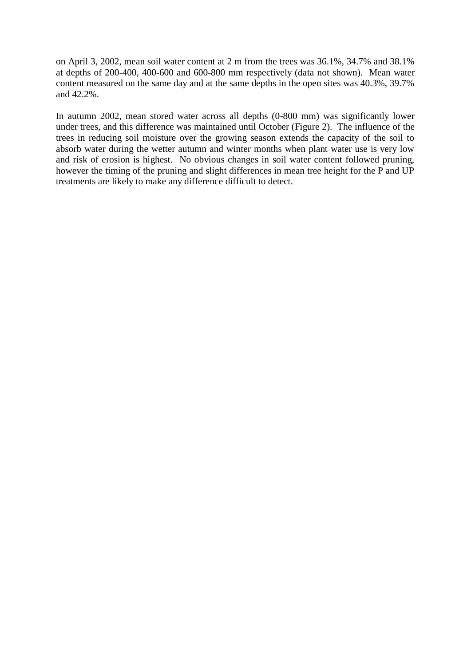on April 3, 2002, mean soil water content at 2 m from the trees was 36.1%, 34.7% and 38.1% at depths of 200-400, 400-600 and 600-800 mm respectively (data not shown). Mean water content measured on the same day and at the same depths in the open sites was 40.3%, 39.7% and 42.2%.

In autumn 2002, mean stored water across all depths (0-800 mm) was significantly lower under trees, and this difference was maintained until October (Figure 2). The influence of the trees in reducing soil moisture over the growing season extends the capacity of the soil to absorb water during the wetter autumn and winter months when plant water use is very low and risk of erosion is highest. No obvious changes in soil water content followed pruning, however the timing of the pruning and slight differences in mean tree height for the P and UP treatments are likely to make any difference difficult to detect.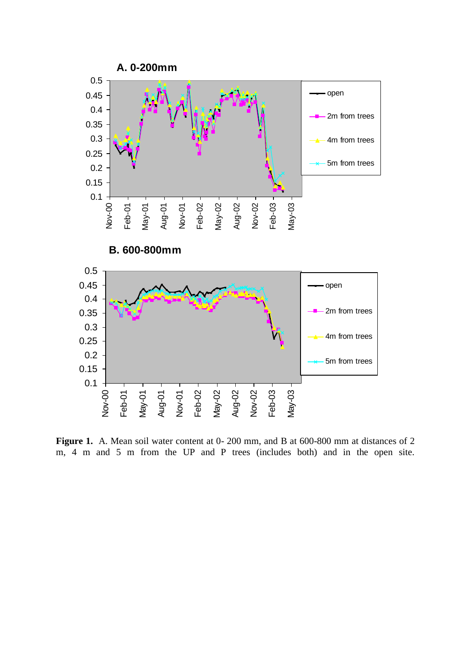

Figure 1. A. Mean soil water content at 0- 200 mm, and B at 600-800 mm at distances of 2 m, 4 m and 5 m from the UP and P trees (includes both) and in the open site.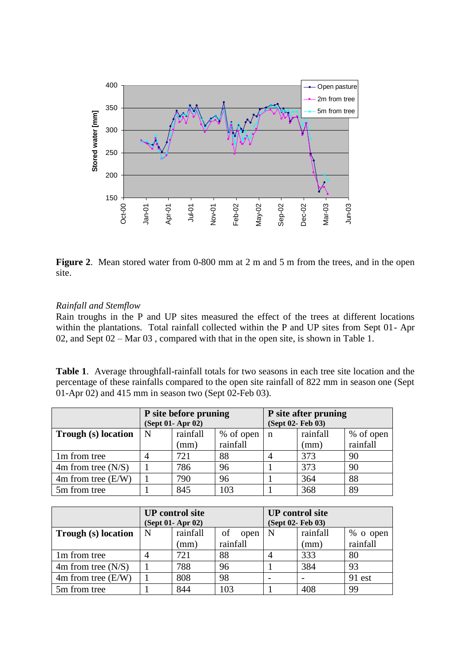

**Figure 2**. Mean stored water from 0-800 mm at 2 m and 5 m from the trees, and in the open site.

#### *Rainfall and Stemflow*

Rain troughs in the P and UP sites measured the effect of the trees at different locations within the plantations. Total rainfall collected within the P and UP sites from Sept 01- Apr 02, and Sept 02 – Mar 03 , compared with that in the open site, is shown in Table 1.

**Table 1**. Average throughfall-rainfall totals for two seasons in each tree site location and the percentage of these rainfalls compared to the open site rainfall of 822 mm in season one (Sept 01-Apr 02) and 415 mm in season two (Sept 02-Feb 03).

|                      | P site before pruning<br>(Sept 01- Apr 02) |          |           | P site after pruning<br>(Sept 02- Feb 03) |          |           |
|----------------------|--------------------------------------------|----------|-----------|-------------------------------------------|----------|-----------|
| Trough (s) location  | N                                          | rainfall | % of open | $\mathbf n$                               | rainfall | % of open |
|                      |                                            | (mm)     | rainfall  |                                           | (mm)     | rainfall  |
| 1m from tree         | 4                                          | 721      | 88        |                                           | 373      | 90        |
| $4m$ from tree (N/S) |                                            | 786      | 96        |                                           | 373      | 90        |
| $4m$ from tree (E/W) |                                            | 790      | 96        |                                           | 364      | 88        |
| 5m from tree         |                                            | 845      | 103       |                                           | 368      | 89        |

|                      | <b>UP</b> control site<br>(Sept 01- Apr 02) |          |            | <b>UP</b> control site<br>(Sept 02- Feb 03) |          |            |
|----------------------|---------------------------------------------|----------|------------|---------------------------------------------|----------|------------|
| Trough (s) location  | N                                           | rainfall | of<br>open | N                                           | rainfall | $%$ o open |
|                      |                                             | (mm)     | rainfall   |                                             | (mm)     | rainfall   |
| 1m from tree         |                                             | 721      | 88         |                                             | 333      | 80         |
| $4m$ from tree (N/S) |                                             | 788      | 96         |                                             | 384      | 93         |
| $4m$ from tree (E/W) |                                             | 808      | 98         |                                             |          | 91 est     |
| 5m from tree         |                                             | 844      | 103        |                                             | 408      | 99         |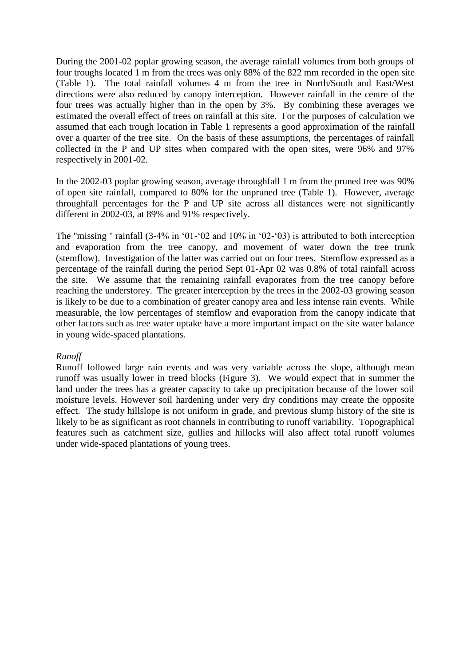During the 2001-02 poplar growing season, the average rainfall volumes from both groups of four troughs located 1 m from the trees was only 88% of the 822 mm recorded in the open site (Table 1). The total rainfall volumes 4 m from the tree in North/South and East/West directions were also reduced by canopy interception. However rainfall in the centre of the four trees was actually higher than in the open by 3%. By combining these averages we estimated the overall effect of trees on rainfall at this site. For the purposes of calculation we assumed that each trough location in Table 1 represents a good approximation of the rainfall over a quarter of the tree site. On the basis of these assumptions, the percentages of rainfall collected in the P and UP sites when compared with the open sites, were 96% and 97% respectively in 2001-02.

In the 2002-03 poplar growing season, average throughfall 1 m from the pruned tree was 90% of open site rainfall, compared to 80% for the unpruned tree (Table 1). However, average throughfall percentages for the P and UP site across all distances were not significantly different in 2002-03, at 89% and 91% respectively.

The "missing " rainfall (3-4% in '01-'02 and 10% in '02-'03) is attributed to both interception and evaporation from the tree canopy, and movement of water down the tree trunk (stemflow). Investigation of the latter was carried out on four trees. Stemflow expressed as a percentage of the rainfall during the period Sept 01-Apr 02 was 0.8% of total rainfall across the site. We assume that the remaining rainfall evaporates from the tree canopy before reaching the understorey. The greater interception by the trees in the 2002-03 growing season is likely to be due to a combination of greater canopy area and less intense rain events. While measurable, the low percentages of stemflow and evaporation from the canopy indicate that other factors such as tree water uptake have a more important impact on the site water balance in young wide-spaced plantations.

#### *Runoff*

Runoff followed large rain events and was very variable across the slope, although mean runoff was usually lower in treed blocks (Figure 3). We would expect that in summer the land under the trees has a greater capacity to take up precipitation because of the lower soil moisture levels. However soil hardening under very dry conditions may create the opposite effect. The study hillslope is not uniform in grade, and previous slump history of the site is likely to be as significant as root channels in contributing to runoff variability. Topographical features such as catchment size, gullies and hillocks will also affect total runoff volumes under wide-spaced plantations of young trees.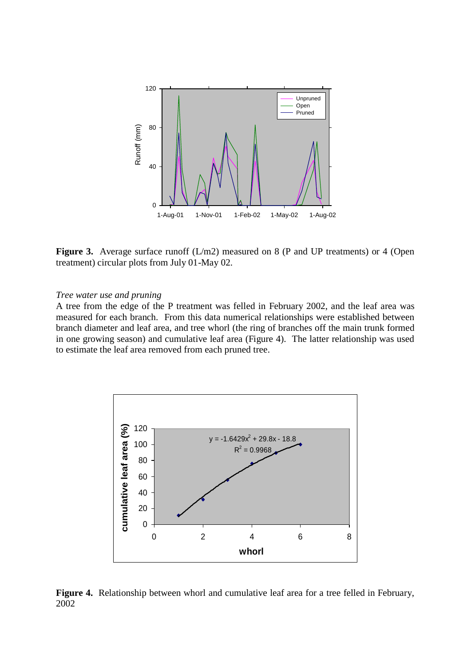

Figure 3. Average surface runoff (L/m2) measured on 8 (P and UP treatments) or 4 (Open treatment) circular plots from July 01-May 02.

#### *Tree water use and pruning*

A tree from the edge of the P treatment was felled in February 2002, and the leaf area was measured for each branch. From this data numerical relationships were established between branch diameter and leaf area, and tree whorl (the ring of branches off the main trunk formed in one growing season) and cumulative leaf area (Figure 4). The latter relationship was used to estimate the leaf area removed from each pruned tree.



**Figure 4.** Relationship between whorl and cumulative leaf area for a tree felled in February, 2002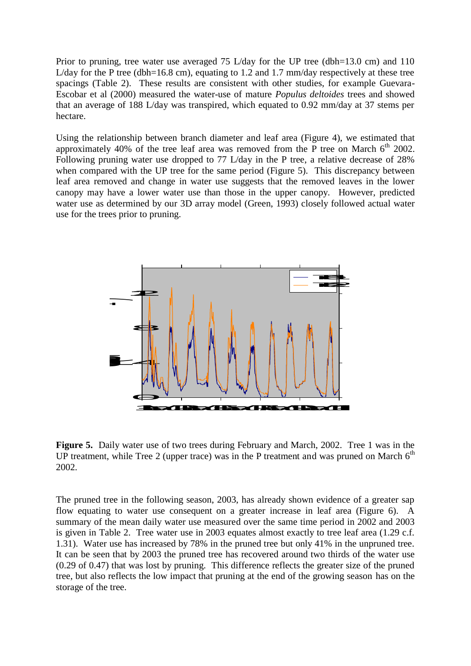Prior to pruning, tree water use averaged 75 L/day for the UP tree (dbh=13.0 cm) and 110 L/day for the P tree (dbh=16.8 cm), equating to 1.2 and 1.7 mm/day respectively at these tree spacings (Table 2). These results are consistent with other studies, for example Guevara-Escobar et al (2000) measured the water-use of mature *Populus deltoides* trees and showed that an average of 188 L/day was transpired, which equated to 0.92 mm/day at 37 stems per hectare.

Using the relationship between branch diameter and leaf area (Figure 4), we estimated that approximately 40% of the tree leaf area was removed from the P tree on March  $6<sup>th</sup>$  2002. Following pruning water use dropped to 77 L/day in the P tree, a relative decrease of 28% when compared with the UP tree for the same period (Figure 5). This discrepancy between leaf area removed and change in water use suggests that the removed leaves in the lower canopy may have a lower water use than those in the upper canopy. However, predicted water use as determined by our 3D array model (Green, 1993) closely followed actual water use for the trees prior to pruning.



**Figure 5.** Daily water use of two trees during February and March, 2002. Tree 1 was in the UP treatment, while Tree 2 (upper trace) was in the P treatment and was pruned on March  $6<sup>th</sup>$ 2002.

The pruned tree in the following season, 2003, has already shown evidence of a greater sap flow equating to water use consequent on a greater increase in leaf area (Figure 6). A summary of the mean daily water use measured over the same time period in 2002 and 2003 is given in Table 2. Tree water use in 2003 equates almost exactly to tree leaf area (1.29 c.f. 1.31). Water use has increased by 78% in the pruned tree but only 41% in the unpruned tree. It can be seen that by 2003 the pruned tree has recovered around two thirds of the water use (0.29 of 0.47) that was lost by pruning. This difference reflects the greater size of the pruned tree, but also reflects the low impact that pruning at the end of the growing season has on the storage of the tree.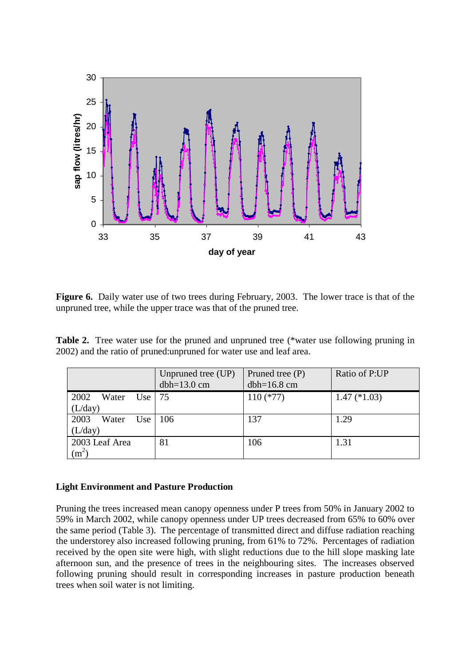

Figure 6. Daily water use of two trees during February, 2003. The lower trace is that of the unpruned tree, while the upper trace was that of the pruned tree.

**Table 2.** Tree water use for the pruned and unpruned tree (\*water use following pruning in 2002) and the ratio of pruned:unpruned for water use and leaf area.

|                                     | Unpruned tree (UP)<br>$dbh=13.0$ cm | Pruned tree $(P)$<br>$dbh=16.8$ cm | Ratio of P:UP  |
|-------------------------------------|-------------------------------------|------------------------------------|----------------|
| 2002<br>Water<br>Use  <br>(L/day)   | -75                                 | $110$ (*77)                        | $1.47$ (*1.03) |
| 2003<br>Water<br>Use<br>(L/day)     | 106                                 | 137                                | 1.29           |
| 2003 Leaf Area<br>(m <sup>2</sup> ) | 81                                  | 106                                | 1.31           |

#### **Light Environment and Pasture Production**

Pruning the trees increased mean canopy openness under P trees from 50% in January 2002 to 59% in March 2002, while canopy openness under UP trees decreased from 65% to 60% over the same period (Table 3). The percentage of transmitted direct and diffuse radiation reaching the understorey also increased following pruning, from 61% to 72%. Percentages of radiation received by the open site were high, with slight reductions due to the hill slope masking late afternoon sun, and the presence of trees in the neighbouring sites. The increases observed following pruning should result in corresponding increases in pasture production beneath trees when soil water is not limiting.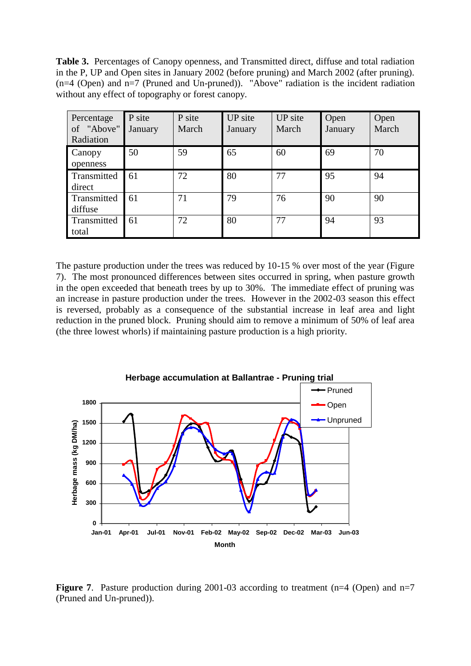**Table 3.** Percentages of Canopy openness, and Transmitted direct, diffuse and total radiation in the P, UP and Open sites in January 2002 (before pruning) and March 2002 (after pruning). (n=4 (Open) and n=7 (Pruned and Un-pruned)). "Above" radiation is the incident radiation without any effect of topography or forest canopy.

| Percentage<br>of "Above"<br>Radiation | P site<br>January | P site<br>March | UP site<br>January | UP site<br>March | Open<br>January | Open<br>March |
|---------------------------------------|-------------------|-----------------|--------------------|------------------|-----------------|---------------|
| Canopy<br>openness                    | 50                | 59              | 65                 | 60               | 69              | 70            |
| Transmitted<br>direct                 | 61                | 72              | 80                 | 77               | 95              | 94            |
| Transmitted<br>diffuse                | 61                | 71              | 79                 | 76               | 90              | 90            |
| Transmitted<br>total                  | 61                | 72              | 80                 | 77               | 94              | 93            |

The pasture production under the trees was reduced by 10-15 % over most of the year (Figure 7). The most pronounced differences between sites occurred in spring, when pasture growth in the open exceeded that beneath trees by up to 30%. The immediate effect of pruning was an increase in pasture production under the trees. However in the 2002-03 season this effect is reversed, probably as a consequence of the substantial increase in leaf area and light reduction in the pruned block. Pruning should aim to remove a minimum of 50% of leaf area (the three lowest whorls) if maintaining pasture production is a high priority.



**Figure 7.** Pasture production during 2001-03 according to treatment (n=4 (Open) and n=7 (Pruned and Un-pruned)).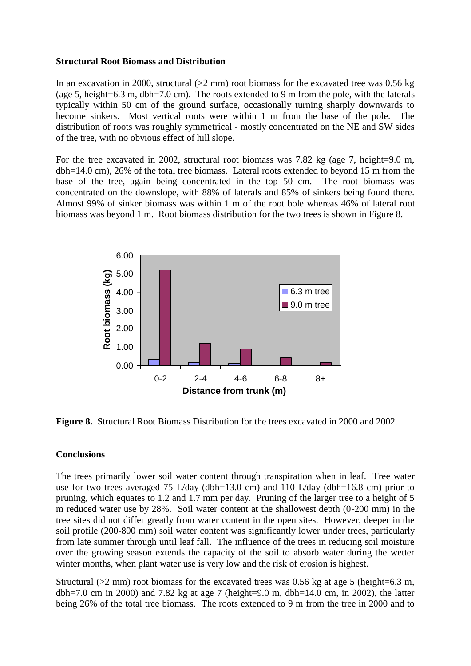#### **Structural Root Biomass and Distribution**

In an excavation in 2000, structural  $(>2$  mm) root biomass for the excavated tree was 0.56 kg (age 5, height=6.3 m, dbh=7.0 cm). The roots extended to 9 m from the pole, with the laterals typically within 50 cm of the ground surface, occasionally turning sharply downwards to become sinkers. Most vertical roots were within 1 m from the base of the pole. The distribution of roots was roughly symmetrical - mostly concentrated on the NE and SW sides of the tree, with no obvious effect of hill slope.

For the tree excavated in 2002, structural root biomass was 7.82 kg (age 7, height=9.0 m, dbh=14.0 cm), 26% of the total tree biomass. Lateral roots extended to beyond 15 m from the base of the tree, again being concentrated in the top 50 cm. The root biomass was concentrated on the downslope, with 88% of laterals and 85% of sinkers being found there. Almost 99% of sinker biomass was within 1 m of the root bole whereas 46% of lateral root biomass was beyond 1 m. Root biomass distribution for the two trees is shown in Figure 8.



**Figure 8.** Structural Root Biomass Distribution for the trees excavated in 2000 and 2002.

#### **Conclusions**

The trees primarily lower soil water content through transpiration when in leaf. Tree water use for two trees averaged 75 L/day (dbh=13.0 cm) and 110 L/day (dbh=16.8 cm) prior to pruning, which equates to 1.2 and 1.7 mm per day. Pruning of the larger tree to a height of 5 m reduced water use by 28%. Soil water content at the shallowest depth (0-200 mm) in the tree sites did not differ greatly from water content in the open sites. However, deeper in the soil profile (200-800 mm) soil water content was significantly lower under trees, particularly from late summer through until leaf fall. The influence of the trees in reducing soil moisture over the growing season extends the capacity of the soil to absorb water during the wetter winter months, when plant water use is very low and the risk of erosion is highest.

Structural ( $>2$  mm) root biomass for the excavated trees was 0.56 kg at age 5 (height=6.3 m, dbh=7.0 cm in 2000) and 7.82 kg at age 7 (height=9.0 m, dbh=14.0 cm, in 2002), the latter being 26% of the total tree biomass. The roots extended to 9 m from the tree in 2000 and to